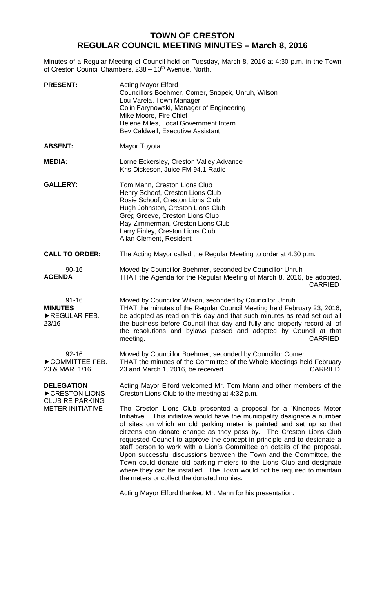## **TOWN OF CRESTON REGULAR COUNCIL MEETING MINUTES – March 8, 2016**

Minutes of a Regular Meeting of Council held on Tuesday, March 8, 2016 at 4:30 p.m. in the Town of Creston Council Chambers, 238 - 10<sup>th</sup> Avenue, North.

| <b>PRESENT:</b>                                                                         | <b>Acting Mayor Elford</b><br>Councillors Boehmer, Comer, Snopek, Unruh, Wilson<br>Lou Varela, Town Manager<br>Colin Farynowski, Manager of Engineering<br>Mike Moore, Fire Chief<br>Helene Miles, Local Government Intern<br>Bev Caldwell, Executive Assistant                                                                                                                                                                                                                                                                                                                                                                                                                  |
|-----------------------------------------------------------------------------------------|----------------------------------------------------------------------------------------------------------------------------------------------------------------------------------------------------------------------------------------------------------------------------------------------------------------------------------------------------------------------------------------------------------------------------------------------------------------------------------------------------------------------------------------------------------------------------------------------------------------------------------------------------------------------------------|
| <b>ABSENT:</b>                                                                          | Mayor Toyota                                                                                                                                                                                                                                                                                                                                                                                                                                                                                                                                                                                                                                                                     |
| <b>MEDIA:</b>                                                                           | Lorne Eckersley, Creston Valley Advance<br>Kris Dickeson, Juice FM 94.1 Radio                                                                                                                                                                                                                                                                                                                                                                                                                                                                                                                                                                                                    |
| <b>GALLERY:</b>                                                                         | Tom Mann, Creston Lions Club<br>Henry Schoof, Creston Lions Club<br>Rosie Schoof, Creston Lions Club<br>Hugh Johnston, Creston Lions Club<br>Greg Greeve, Creston Lions Club<br>Ray Zimmerman, Creston Lions Club<br>Larry Finley, Creston Lions Club<br>Allan Clement, Resident                                                                                                                                                                                                                                                                                                                                                                                                 |
| <b>CALL TO ORDER:</b>                                                                   | The Acting Mayor called the Regular Meeting to order at 4:30 p.m.                                                                                                                                                                                                                                                                                                                                                                                                                                                                                                                                                                                                                |
| $90 - 16$<br><b>AGENDA</b>                                                              | Moved by Councillor Boehmer, seconded by Councillor Unruh<br>THAT the Agenda for the Regular Meeting of March 8, 2016, be adopted.<br><b>CARRIED</b>                                                                                                                                                                                                                                                                                                                                                                                                                                                                                                                             |
| $91 - 16$<br><b>MINUTES</b><br>REGULAR FEB.<br>23/16                                    | Moved by Councillor Wilson, seconded by Councillor Unruh<br>THAT the minutes of the Regular Council Meeting held February 23, 2016,<br>be adopted as read on this day and that such minutes as read set out all<br>the business before Council that day and fully and properly record all of<br>the resolutions and bylaws passed and adopted by Council at that<br>meeting.<br><b>CARRIED</b>                                                                                                                                                                                                                                                                                   |
| $92 - 16$<br>COMMITTEE FEB.<br>23 & MAR. 1/16                                           | Moved by Councillor Boehmer, seconded by Councillor Comer<br>THAT the minutes of the Committee of the Whole Meetings held February<br>23 and March 1, 2016, be received.<br><b>CARRIED</b>                                                                                                                                                                                                                                                                                                                                                                                                                                                                                       |
| <b>DELEGATION</b><br>CRESTON LIONS<br><b>CLUB RE PARKING</b><br><b>METER INITIATIVE</b> | Acting Mayor Elford welcomed Mr. Tom Mann and other members of the<br>Creston Lions Club to the meeting at 4:32 p.m.                                                                                                                                                                                                                                                                                                                                                                                                                                                                                                                                                             |
|                                                                                         | The Creston Lions Club presented a proposal for a 'Kindness Meter<br>Initiative'. This initiative would have the municipality designate a number<br>of sites on which an old parking meter is painted and set up so that<br>citizens can donate change as they pass by. The Creston Lions Club<br>requested Council to approve the concept in principle and to designate a<br>staff person to work with a Lion's Committee on details of the proposal.<br>Upon successful discussions between the Town and the Committee, the<br>Town could donate old parking meters to the Lions Club and designate<br>where they can be installed. The Town would not be required to maintain |

Acting Mayor Elford thanked Mr. Mann for his presentation.

the meters or collect the donated monies.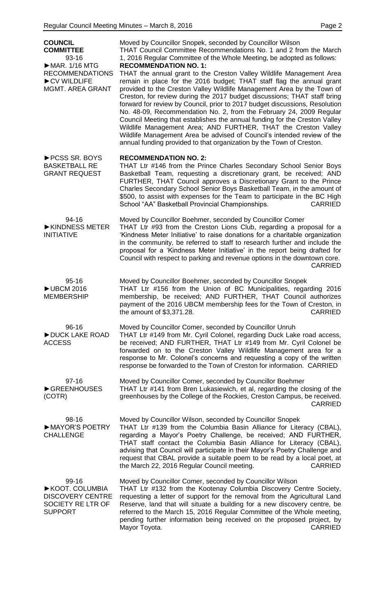| <b>COUNCIL</b><br><b>COMMITTEE</b><br>93-16<br>$\triangleright$ MAR. 1/16 MTG             | Moved by Councillor Snopek, seconded by Councillor Wilson<br>THAT Council Committee Recommendations No. 1 and 2 from the March<br>1, 2016 Regular Committee of the Whole Meeting, be adopted as follows:                                                                                                                                                                                                                                                                                                                                                                                                                                                                                                                                                                                     |
|-------------------------------------------------------------------------------------------|----------------------------------------------------------------------------------------------------------------------------------------------------------------------------------------------------------------------------------------------------------------------------------------------------------------------------------------------------------------------------------------------------------------------------------------------------------------------------------------------------------------------------------------------------------------------------------------------------------------------------------------------------------------------------------------------------------------------------------------------------------------------------------------------|
| <b>RECOMMENDATIONS</b><br>CV WILDLIFE<br><b>MGMT. AREA GRANT</b>                          | <b>RECOMMENDATION NO. 1:</b><br>THAT the annual grant to the Creston Valley Wildlife Management Area<br>remain in place for the 2016 budget; THAT staff flag the annual grant<br>provided to the Creston Valley Wildlife Management Area by the Town of<br>Creston, for review during the 2017 budget discussions; THAT staff bring<br>forward for review by Council, prior to 2017 budget discussions, Resolution<br>No. 48-09, Recommendation No. 2, from the February 24, 2009 Regular<br>Council Meeting that establishes the annual funding for the Creston Valley<br>Wildlife Management Area; AND FURTHER, THAT the Creston Valley<br>Wildlife Management Area be advised of Council's intended review of the<br>annual funding provided to that organization by the Town of Creston. |
| ▶ PCSS SR. BOYS<br><b>BASKETBALL RE</b><br><b>GRANT REQUEST</b>                           | <b>RECOMMENDATION NO. 2:</b><br>THAT Ltr #146 from the Prince Charles Secondary School Senior Boys<br>Basketball Team, requesting a discretionary grant, be received; AND<br>FURTHER, THAT Council approves a Discretionary Grant to the Prince<br>Charles Secondary School Senior Boys Basketball Team, in the amount of<br>\$500, to assist with expenses for the Team to participate in the BC High<br>School "AA" Basketball Provincial Championships.<br><b>CARRIED</b>                                                                                                                                                                                                                                                                                                                 |
| 94-16<br>KINDNESS METER<br><b>INITIATIVE</b>                                              | Moved by Councillor Boehmer, seconded by Councillor Comer<br>THAT Ltr #93 from the Creston Lions Club, regarding a proposal for a<br>'Kindness Meter Initiative' to raise donations for a charitable organization<br>in the community, be referred to staff to research further and include the<br>proposal for a 'Kindness Meter Initiative' in the report being drafted for<br>Council with respect to parking and revenue options in the downtown core.<br><b>CARRIED</b>                                                                                                                                                                                                                                                                                                                 |
| $95 - 16$<br><b>▶UBCM 2016</b><br><b>MEMBERSHIP</b>                                       | Moved by Councillor Boehmer, seconded by Councillor Snopek<br>THAT Ltr #156 from the Union of BC Municipalities, regarding 2016<br>membership, be received; AND FURTHER, THAT Council authorizes<br>payment of the 2016 UBCM membership fees for the Town of Creston, in<br>the amount of \$3,371.28.<br><b>CARRIED</b>                                                                                                                                                                                                                                                                                                                                                                                                                                                                      |
| 96-16<br>DUCK LAKE ROAD<br><b>ACCESS</b>                                                  | Moved by Councillor Comer, seconded by Councillor Unruh<br>THAT Ltr #149 from Mr. Cyril Colonel, regarding Duck Lake road access,<br>be received; AND FURTHER, THAT Ltr #149 from Mr. Cyril Colonel be<br>forwarded on to the Creston Valley Wildlife Management area for a<br>response to Mr. Colonel's concerns and requesting a copy of the written<br>response be forwarded to the Town of Creston for information. CARRIED                                                                                                                                                                                                                                                                                                                                                              |
| $97 - 16$<br>GREENHOUSES<br>(COTR)                                                        | Moved by Councillor Comer, seconded by Councillor Boehmer<br>THAT Ltr #141 from Bren Lukasiewich, et al, regarding the closing of the<br>greenhouses by the College of the Rockies, Creston Campus, be received.<br><b>CARRIED</b>                                                                                                                                                                                                                                                                                                                                                                                                                                                                                                                                                           |
| 98-16<br>MAYOR'S POETRY<br><b>CHALLENGE</b>                                               | Moved by Councillor Wilson, seconded by Councillor Snopek<br>THAT Ltr #139 from the Columbia Basin Alliance for Literacy (CBAL),<br>regarding a Mayor's Poetry Challenge, be received; AND FURTHER,<br>THAT staff contact the Columbia Basin Alliance for Literacy (CBAL),<br>advising that Council will participate in their Mayor's Poetry Challenge and<br>request that CBAL provide a suitable poem to be read by a local poet, at<br>the March 22, 2016 Regular Council meeting.<br><b>CARRIED</b>                                                                                                                                                                                                                                                                                      |
| 99-16<br>KOOT. COLUMBIA<br><b>DISCOVERY CENTRE</b><br>SOCIETY RE LTR OF<br><b>SUPPORT</b> | Moved by Councillor Comer, seconded by Councillor Wilson<br>THAT Ltr #132 from the Kootenay Columbia Discovery Centre Society,<br>requesting a letter of support for the removal from the Agricultural Land<br>Reserve, land that will situate a building for a new discovery centre, be<br>referred to the March 15, 2016 Regular Committee of the Whole meeting,<br>pending further information being received on the proposed project, by<br><b>CARRIED</b><br>Mayor Toyota.                                                                                                                                                                                                                                                                                                              |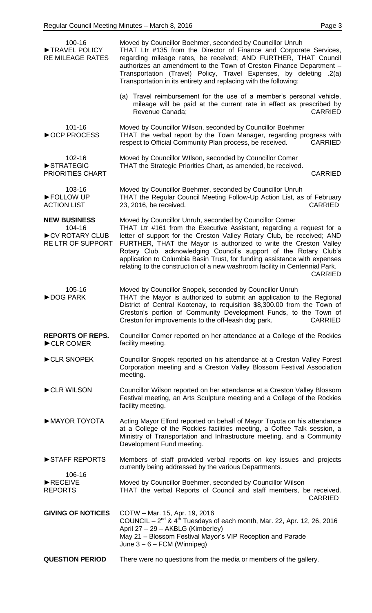| 100-16<br>TRAVEL POLICY<br><b>RE MILEAGE RATES</b>                   | Moved by Councillor Boehmer, seconded by Councillor Unruh<br>THAT Ltr #135 from the Director of Finance and Corporate Services,<br>regarding mileage rates, be received; AND FURTHER, THAT Council<br>authorizes an amendment to the Town of Creston Finance Department -<br>Transportation (Travel) Policy, Travel Expenses, by deleting .2(a)<br>Transportation in its entirety and replacing with the following:<br>(a) Travel reimbursement for the use of a member's personal vehicle,                                        |
|----------------------------------------------------------------------|------------------------------------------------------------------------------------------------------------------------------------------------------------------------------------------------------------------------------------------------------------------------------------------------------------------------------------------------------------------------------------------------------------------------------------------------------------------------------------------------------------------------------------|
|                                                                      | mileage will be paid at the current rate in effect as prescribed by<br>Revenue Canada:<br><b>CARRIED</b>                                                                                                                                                                                                                                                                                                                                                                                                                           |
| 101-16<br>▶ OCP PROCESS                                              | Moved by Councillor Wilson, seconded by Councillor Boehmer<br>THAT the verbal report by the Town Manager, regarding progress with<br>respect to Official Community Plan process, be received.<br><b>CARRIED</b>                                                                                                                                                                                                                                                                                                                    |
| 102-16<br>STRATEGIC<br><b>PRIORITIES CHART</b>                       | Moved by Councillor WIIson, seconded by Councillor Comer<br>THAT the Strategic Priorities Chart, as amended, be received.<br><b>CARRIED</b>                                                                                                                                                                                                                                                                                                                                                                                        |
| 103-16<br>FOLLOW UP<br><b>ACTION LIST</b>                            | Moved by Councillor Boehmer, seconded by Councillor Unruh<br>THAT the Regular Council Meeting Follow-Up Action List, as of February<br><b>CARRIED</b><br>23, 2016, be received.                                                                                                                                                                                                                                                                                                                                                    |
| <b>NEW BUSINESS</b><br>104-16<br>CV ROTARY CLUB<br>RE LTR OF SUPPORT | Moved by Councillor Unruh, seconded by Councillor Comer<br>THAT Ltr #161 from the Executive Assistant, regarding a request for a<br>letter of support for the Creston Valley Rotary Club, be received; AND<br>FURTHER, THAT the Mayor is authorized to write the Creston Valley<br>Rotary Club, acknowledging Council's support of the Rotary Club's<br>application to Columbia Basin Trust, for funding assistance with expenses<br>relating to the construction of a new washroom facility in Centennial Park.<br><b>CARRIED</b> |
| 105-16<br>DOG PARK                                                   | Moved by Councillor Snopek, seconded by Councillor Unruh<br>THAT the Mayor is authorized to submit an application to the Regional<br>District of Central Kootenay, to requisition \$8,300.00 from the Town of<br>Creston's portion of Community Development Funds, to the Town of<br>Creston for improvements to the off-leash dog park.<br><b>CARRIED</b>                                                                                                                                                                         |
| <b>REPORTS OF REPS.</b><br>CLR COMER                                 | Councillor Comer reported on her attendance at a College of the Rockies<br>facility meeting.                                                                                                                                                                                                                                                                                                                                                                                                                                       |
| CLR SNOPEK                                                           | Councillor Snopek reported on his attendance at a Creston Valley Forest<br>Corporation meeting and a Creston Valley Blossom Festival Association<br>meeting.                                                                                                                                                                                                                                                                                                                                                                       |
| CLR WILSON                                                           | Councillor Wilson reported on her attendance at a Creston Valley Blossom<br>Festival meeting, an Arts Sculpture meeting and a College of the Rockies<br>facility meeting.                                                                                                                                                                                                                                                                                                                                                          |
| MAYOR TOYOTA                                                         | Acting Mayor Elford reported on behalf of Mayor Toyota on his attendance<br>at a College of the Rockies facilities meeting, a Coffee Talk session, a<br>Ministry of Transportation and Infrastructure meeting, and a Community<br>Development Fund meeting.                                                                                                                                                                                                                                                                        |
| STAFF REPORTS<br>106-16                                              | Members of staff provided verbal reports on key issues and projects<br>currently being addressed by the various Departments.                                                                                                                                                                                                                                                                                                                                                                                                       |
| RECEIVE<br><b>REPORTS</b>                                            | Moved by Councillor Boehmer, seconded by Councillor Wilson<br>THAT the verbal Reports of Council and staff members, be received.<br><b>CARRIED</b>                                                                                                                                                                                                                                                                                                                                                                                 |
| <b>GIVING OF NOTICES</b>                                             | COTW - Mar. 15, Apr. 19, 2016<br>COUNCIL $-2^{nd}$ & 4 <sup>th</sup> Tuesdays of each month, Mar. 22, Apr. 12, 26, 2016<br>April 27 - 29 - AKBLG (Kimberley)<br>May 21 - Blossom Festival Mayor's VIP Reception and Parade<br>June $3 - 6 - FCM$ (Winnipeg)                                                                                                                                                                                                                                                                        |
| <b>QUESTION PERIOD</b>                                               | There were no questions from the media or members of the gallery.                                                                                                                                                                                                                                                                                                                                                                                                                                                                  |